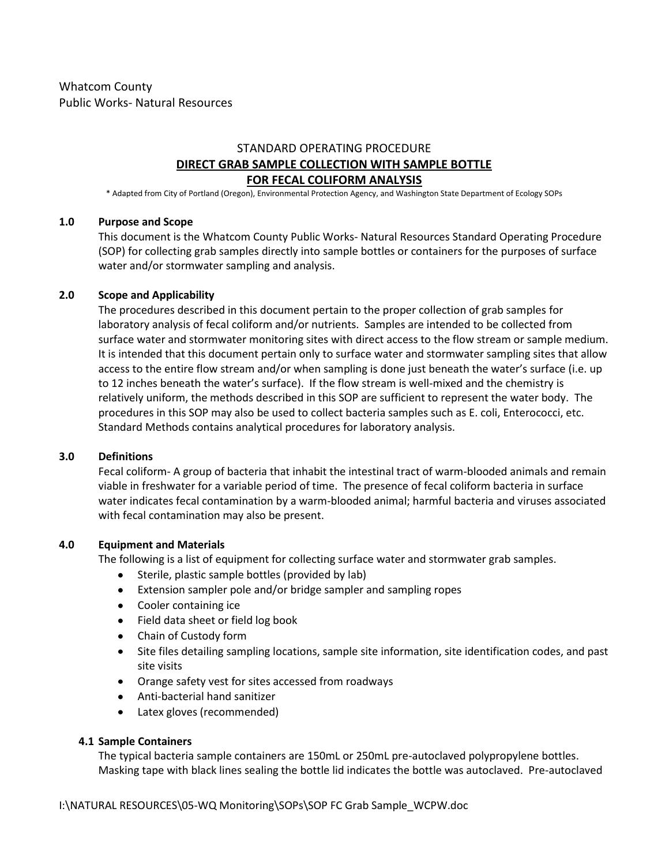# STANDARD OPERATING PROCEDURE **DIRECT GRAB SAMPLE COLLECTION WITH SAMPLE BOTTLE FOR FECAL COLIFORM ANALYSIS**

\* Adapted from City of Portland (Oregon), Environmental Protection Agency, and Washington State Department of Ecology SOPs

## **1.0 Purpose and Scope**

This document is the Whatcom County Public Works- Natural Resources Standard Operating Procedure (SOP) for collecting grab samples directly into sample bottles or containers for the purposes of surface water and/or stormwater sampling and analysis.

## **2.0 Scope and Applicability**

The procedures described in this document pertain to the proper collection of grab samples for laboratory analysis of fecal coliform and/or nutrients. Samples are intended to be collected from surface water and stormwater monitoring sites with direct access to the flow stream or sample medium. It is intended that this document pertain only to surface water and stormwater sampling sites that allow access to the entire flow stream and/or when sampling is done just beneath the water's surface (i.e. up to 12 inches beneath the water's surface). If the flow stream is well-mixed and the chemistry is relatively uniform, the methods described in this SOP are sufficient to represent the water body. The procedures in this SOP may also be used to collect bacteria samples such as E. coli, Enterococci, etc. Standard Methods contains analytical procedures for laboratory analysis.

#### **3.0 Definitions**

Fecal coliform- A group of bacteria that inhabit the intestinal tract of warm-blooded animals and remain viable in freshwater for a variable period of time. The presence of fecal coliform bacteria in surface water indicates fecal contamination by a warm-blooded animal; harmful bacteria and viruses associated with fecal contamination may also be present.

#### **4.0 Equipment and Materials**

The following is a list of equipment for collecting surface water and stormwater grab samples.

- Sterile, plastic sample bottles (provided by lab)  $\bullet$
- Extension sampler pole and/or bridge sampler and sampling ropes
- Cooler containing ice
- Field data sheet or field log book
- Chain of Custody form
- Site files detailing sampling locations, sample site information, site identification codes, and past site visits
- Orange safety vest for sites accessed from roadways
- Anti-bacterial hand sanitizer
- Latex gloves (recommended)

#### **4.1 Sample Containers**

The typical bacteria sample containers are 150mL or 250mL pre-autoclaved polypropylene bottles. Masking tape with black lines sealing the bottle lid indicates the bottle was autoclaved. Pre-autoclaved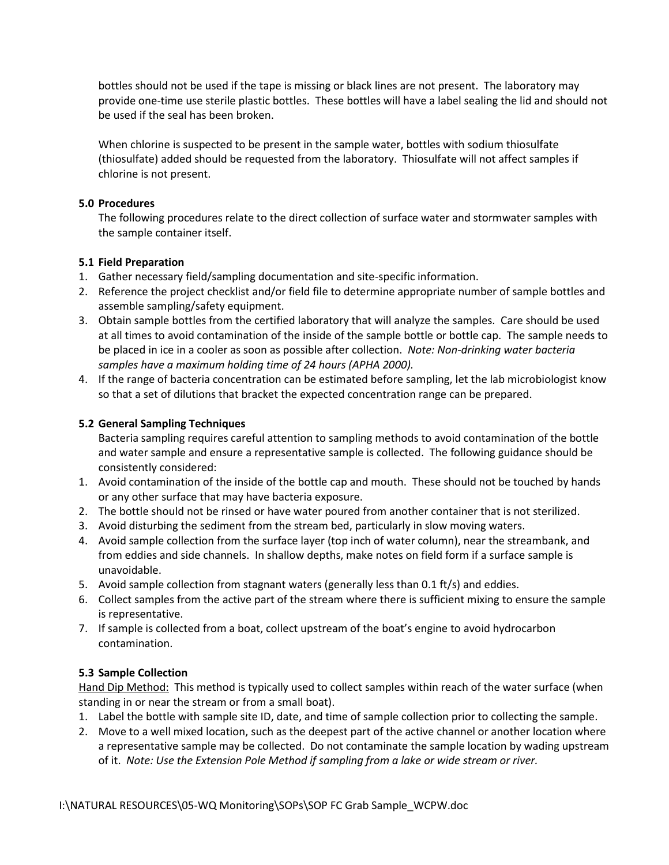bottles should not be used if the tape is missing or black lines are not present. The laboratory may provide one-time use sterile plastic bottles. These bottles will have a label sealing the lid and should not be used if the seal has been broken.

When chlorine is suspected to be present in the sample water, bottles with sodium thiosulfate (thiosulfate) added should be requested from the laboratory. Thiosulfate will not affect samples if chlorine is not present.

## **5.0 Procedures**

The following procedures relate to the direct collection of surface water and stormwater samples with the sample container itself.

## **5.1 Field Preparation**

- 1. Gather necessary field/sampling documentation and site-specific information.
- 2. Reference the project checklist and/or field file to determine appropriate number of sample bottles and assemble sampling/safety equipment.
- 3. Obtain sample bottles from the certified laboratory that will analyze the samples. Care should be used at all times to avoid contamination of the inside of the sample bottle or bottle cap. The sample needs to be placed in ice in a cooler as soon as possible after collection. *Note: Non-drinking water bacteria samples have a maximum holding time of 24 hours (APHA 2000).*
- 4. If the range of bacteria concentration can be estimated before sampling, let the lab microbiologist know so that a set of dilutions that bracket the expected concentration range can be prepared.

## **5.2 General Sampling Techniques**

Bacteria sampling requires careful attention to sampling methods to avoid contamination of the bottle and water sample and ensure a representative sample is collected. The following guidance should be consistently considered:

- 1. Avoid contamination of the inside of the bottle cap and mouth. These should not be touched by hands or any other surface that may have bacteria exposure.
- 2. The bottle should not be rinsed or have water poured from another container that is not sterilized.
- 3. Avoid disturbing the sediment from the stream bed, particularly in slow moving waters.
- 4. Avoid sample collection from the surface layer (top inch of water column), near the streambank, and from eddies and side channels. In shallow depths, make notes on field form if a surface sample is unavoidable.
- 5. Avoid sample collection from stagnant waters (generally less than 0.1 ft/s) and eddies.
- 6. Collect samples from the active part of the stream where there is sufficient mixing to ensure the sample is representative.
- 7. If sample is collected from a boat, collect upstream of the boat's engine to avoid hydrocarbon contamination.

# **5.3 Sample Collection**

Hand Dip Method: This method is typically used to collect samples within reach of the water surface (when standing in or near the stream or from a small boat).

- 1. Label the bottle with sample site ID, date, and time of sample collection prior to collecting the sample.
- 2. Move to a well mixed location, such as the deepest part of the active channel or another location where a representative sample may be collected. Do not contaminate the sample location by wading upstream of it. *Note: Use the Extension Pole Method if sampling from a lake or wide stream or river.*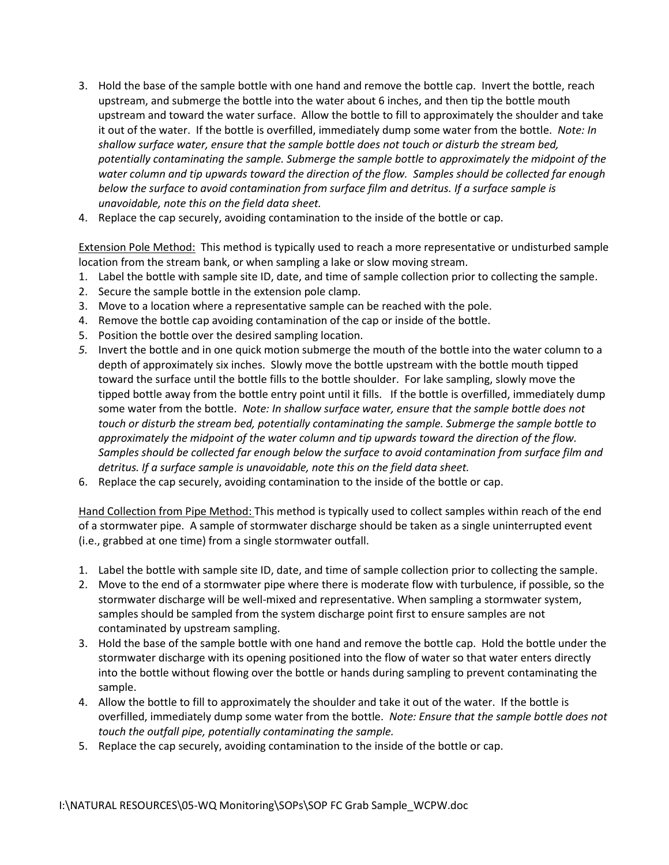- 3. Hold the base of the sample bottle with one hand and remove the bottle cap. Invert the bottle, reach upstream, and submerge the bottle into the water about 6 inches, and then tip the bottle mouth upstream and toward the water surface. Allow the bottle to fill to approximately the shoulder and take it out of the water. If the bottle is overfilled, immediately dump some water from the bottle. *Note: In shallow surface water, ensure that the sample bottle does not touch or disturb the stream bed, potentially contaminating the sample. Submerge the sample bottle to approximately the midpoint of the water column and tip upwards toward the direction of the flow. Samples should be collected far enough below the surface to avoid contamination from surface film and detritus. If a surface sample is unavoidable, note this on the field data sheet.*
- 4. Replace the cap securely, avoiding contamination to the inside of the bottle or cap.

Extension Pole Method: This method is typically used to reach a more representative or undisturbed sample location from the stream bank, or when sampling a lake or slow moving stream.

- 1. Label the bottle with sample site ID, date, and time of sample collection prior to collecting the sample.
- 2. Secure the sample bottle in the extension pole clamp.
- 3. Move to a location where a representative sample can be reached with the pole.
- 4. Remove the bottle cap avoiding contamination of the cap or inside of the bottle.
- 5. Position the bottle over the desired sampling location.
- *5.* Invert the bottle and in one quick motion submerge the mouth of the bottle into the water column to a depth of approximately six inches. Slowly move the bottle upstream with the bottle mouth tipped toward the surface until the bottle fills to the bottle shoulder. For lake sampling, slowly move the tipped bottle away from the bottle entry point until it fills.If the bottle is overfilled, immediately dump some water from the bottle. *Note: In shallow surface water, ensure that the sample bottle does not touch or disturb the stream bed, potentially contaminating the sample. Submerge the sample bottle to approximately the midpoint of the water column and tip upwards toward the direction of the flow. Samples should be collected far enough below the surface to avoid contamination from surface film and detritus. If a surface sample is unavoidable, note this on the field data sheet.*
- 6. Replace the cap securely, avoiding contamination to the inside of the bottle or cap.

Hand Collection from Pipe Method: This method is typically used to collect samples within reach of the end of a stormwater pipe. A sample of stormwater discharge should be taken as a single uninterrupted event (i.e., grabbed at one time) from a single stormwater outfall.

- 1. Label the bottle with sample site ID, date, and time of sample collection prior to collecting the sample.
- 2. Move to the end of a stormwater pipe where there is moderate flow with turbulence, if possible, so the stormwater discharge will be well-mixed and representative. When sampling a stormwater system, samples should be sampled from the system discharge point first to ensure samples are not contaminated by upstream sampling.
- 3. Hold the base of the sample bottle with one hand and remove the bottle cap. Hold the bottle under the stormwater discharge with its opening positioned into the flow of water so that water enters directly into the bottle without flowing over the bottle or hands during sampling to prevent contaminating the sample.
- 4. Allow the bottle to fill to approximately the shoulder and take it out of the water. If the bottle is overfilled, immediately dump some water from the bottle. *Note: Ensure that the sample bottle does not touch the outfall pipe, potentially contaminating the sample.*
- 5. Replace the cap securely, avoiding contamination to the inside of the bottle or cap.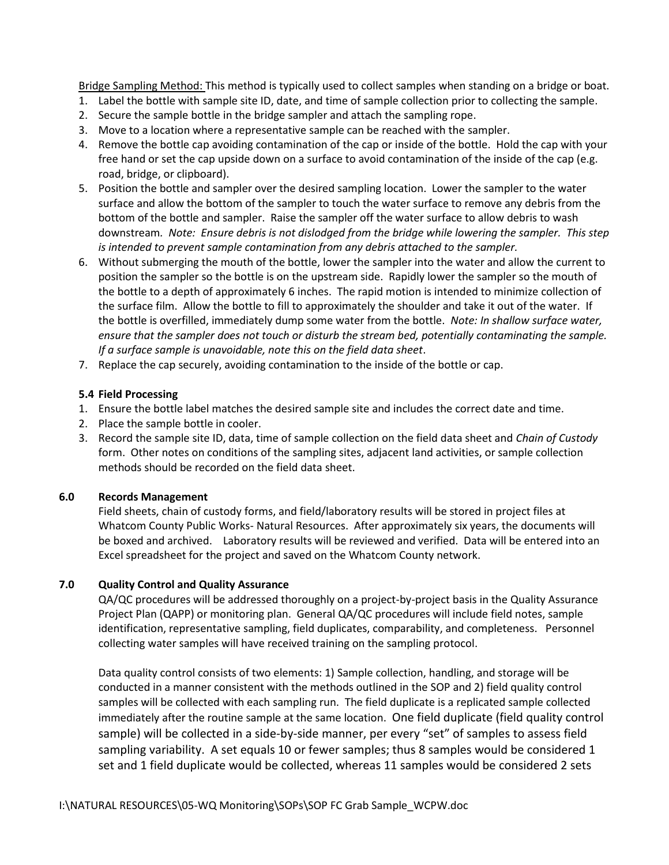Bridge Sampling Method: This method is typically used to collect samples when standing on a bridge or boat.

- 1. Label the bottle with sample site ID, date, and time of sample collection prior to collecting the sample.
- 2. Secure the sample bottle in the bridge sampler and attach the sampling rope.
- 3. Move to a location where a representative sample can be reached with the sampler.
- 4. Remove the bottle cap avoiding contamination of the cap or inside of the bottle. Hold the cap with your free hand or set the cap upside down on a surface to avoid contamination of the inside of the cap (e.g. road, bridge, or clipboard).
- 5. Position the bottle and sampler over the desired sampling location. Lower the sampler to the water surface and allow the bottom of the sampler to touch the water surface to remove any debris from the bottom of the bottle and sampler. Raise the sampler off the water surface to allow debris to wash downstream*. Note: Ensure debris is not dislodged from the bridge while lowering the sampler. This step is intended to prevent sample contamination from any debris attached to the sampler.*
- 6. Without submerging the mouth of the bottle, lower the sampler into the water and allow the current to position the sampler so the bottle is on the upstream side. Rapidly lower the sampler so the mouth of the bottle to a depth of approximately 6 inches. The rapid motion is intended to minimize collection of the surface film. Allow the bottle to fill to approximately the shoulder and take it out of the water. If the bottle is overfilled, immediately dump some water from the bottle. *Note: In shallow surface water, ensure that the sampler does not touch or disturb the stream bed, potentially contaminating the sample. If a surface sample is unavoidable, note this on the field data sheet*.
- 7. Replace the cap securely, avoiding contamination to the inside of the bottle or cap.

## **5.4 Field Processing**

- 1. Ensure the bottle label matches the desired sample site and includes the correct date and time.
- 2. Place the sample bottle in cooler.
- 3. Record the sample site ID, data, time of sample collection on the field data sheet and *Chain of Custody* form. Other notes on conditions of the sampling sites, adjacent land activities, or sample collection methods should be recorded on the field data sheet.

## **6.0 Records Management**

Field sheets, chain of custody forms, and field/laboratory results will be stored in project files at Whatcom County Public Works- Natural Resources. After approximately six years, the documents will be boxed and archived. Laboratory results will be reviewed and verified. Data will be entered into an Excel spreadsheet for the project and saved on the Whatcom County network.

# **7.0 Quality Control and Quality Assurance**

QA/QC procedures will be addressed thoroughly on a project-by-project basis in the Quality Assurance Project Plan (QAPP) or monitoring plan. General QA/QC procedures will include field notes, sample identification, representative sampling, field duplicates, comparability, and completeness. Personnel collecting water samples will have received training on the sampling protocol.

Data quality control consists of two elements: 1) Sample collection, handling, and storage will be conducted in a manner consistent with the methods outlined in the SOP and 2) field quality control samples will be collected with each sampling run. The field duplicate is a replicated sample collected immediately after the routine sample at the same location. One field duplicate (field quality control sample) will be collected in a side-by-side manner, per every "set" of samples to assess field sampling variability. A set equals 10 or fewer samples; thus 8 samples would be considered 1 set and 1 field duplicate would be collected, whereas 11 samples would be considered 2 sets